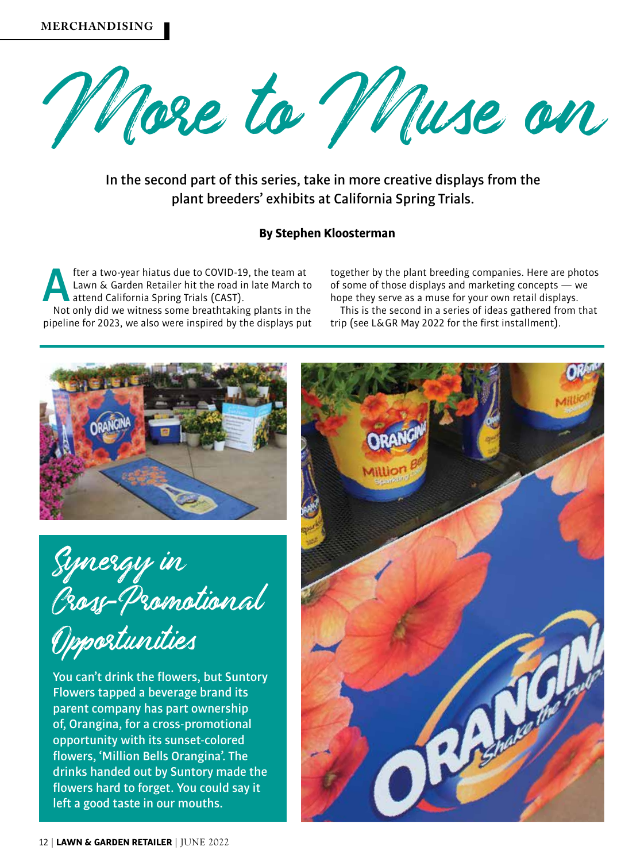

In the second part of this series, take in more creative displays from the plant breeders' exhibits at California Spring Trials.

## **By Stephen Kloosterman**

**After a two-year hiatus due to COVID-19, the team at<br>Lawn & Garden Retailer hit the road in late March to<br>attend California Spring Trials (CAST).<br>Not only did we witness some breathtaking plants in the** Lawn & Garden Retailer hit the road in late March to attend California Spring Trials (CAST).

Not only did we witness some breathtaking plants in the pipeline for 2023, we also were inspired by the displays put together by the plant breeding companies. Here are photos of some of those displays and marketing concepts — we hope they serve as a muse for your own retail displays.

This is the second in a series of ideas gathered from that trip (see L&GR May 2022 for the first installment).



Synergy in Cross-P romotional

Opportunities

You can't drink the flowers, but Suntory Flowers tapped a beverage brand its parent company has part ownership of, Orangina, for a cross-promotional opportunity with its sunset-colored flowers, 'Million Bells Orangina'. The drinks handed out by Suntory made the flowers hard to forget. You could say it left a good taste in our mouths.

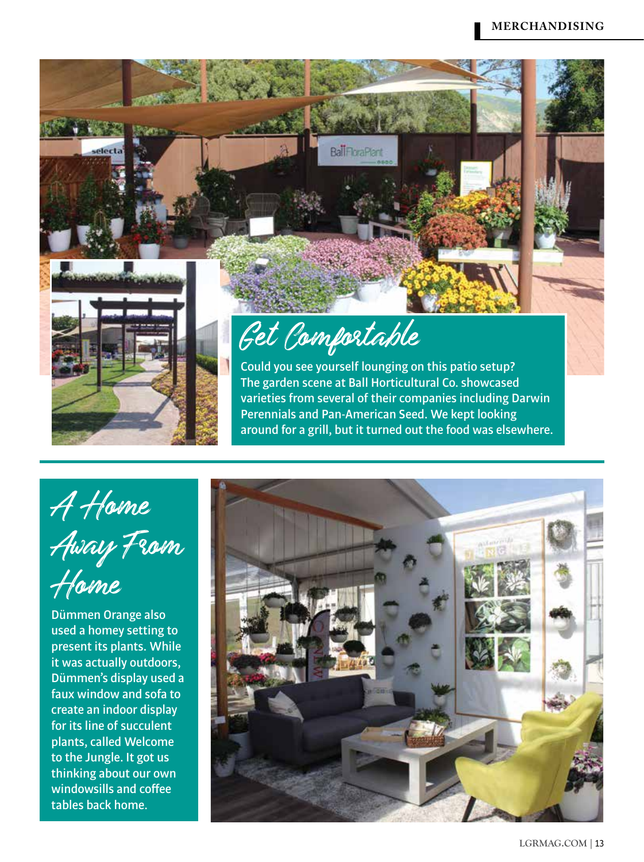

A Home Away From Home

Dümmen Orange also used a homey setting to present its plants. While it was actually outdoors, Dümmen's display used a faux window and sofa to create an indoor display for its line of succulent plants, called Welcome to the Jungle. It got us thinking about our own windowsills and coffee tables back home.

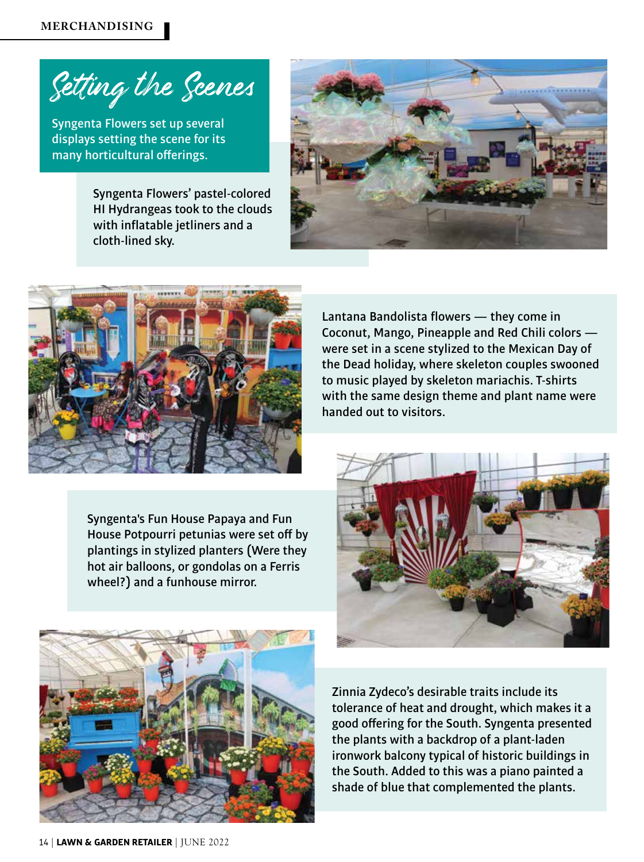Setting the Scenes

Syngenta Flowers set up several displays setting the scene for its many horticultural offerings.

> Syngenta Flowers' pastel-colored HI Hydrangeas took to the clouds with inflatable jetliners and a cloth-lined sky.





Syngenta's Fun House Papaya and Fun House Potpourri petunias were set off by plantings in stylized planters (Were they hot air balloons, or gondolas on a Ferris wheel?) and a funhouse mirror.

Lantana Bandolista flowers — they come in Coconut, Mango, Pineapple and Red Chili colors were set in a scene stylized to the Mexican Day of the Dead holiday, where skeleton couples swooned to music played by skeleton mariachis. T-shirts with the same design theme and plant name were handed out to visitors.





Zinnia Zydeco's desirable traits include its tolerance of heat and drought, which makes it a good offering for the South. Syngenta presented the plants with a backdrop of a plant-laden ironwork balcony typical of historic buildings in the South. Added to this was a piano painted a shade of blue that complemented the plants.